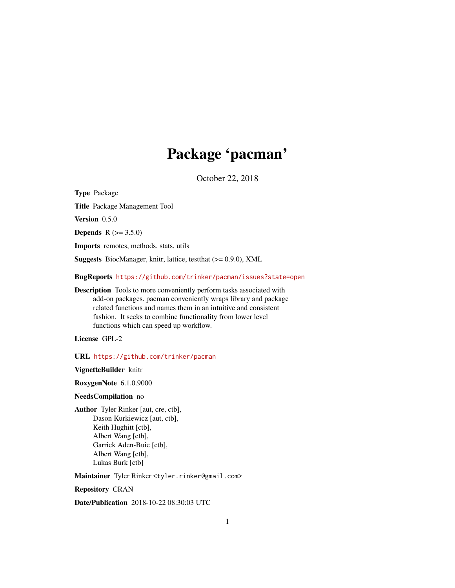# Package 'pacman'

October 22, 2018

<span id="page-0-0"></span>Type Package Title Package Management Tool Version 0.5.0 **Depends** R  $(>= 3.5.0)$ Imports remotes, methods, stats, utils Suggests BiocManager, knitr, lattice, testthat (>= 0.9.0), XML BugReports <https://github.com/trinker/pacman/issues?state=open> Description Tools to more conveniently perform tasks associated with add-on packages. pacman conveniently wraps library and package related functions and names them in an intuitive and consistent fashion. It seeks to combine functionality from lower level

License GPL-2

URL <https://github.com/trinker/pacman>

functions which can speed up workflow.

VignetteBuilder knitr

RoxygenNote 6.1.0.9000

## NeedsCompilation no

Author Tyler Rinker [aut, cre, ctb], Dason Kurkiewicz [aut, ctb], Keith Hughitt [ctb], Albert Wang [ctb], Garrick Aden-Buie [ctb], Albert Wang [ctb], Lukas Burk [ctb]

Maintainer Tyler Rinker <tyler.rinker@gmail.com>

Repository CRAN

Date/Publication 2018-10-22 08:30:03 UTC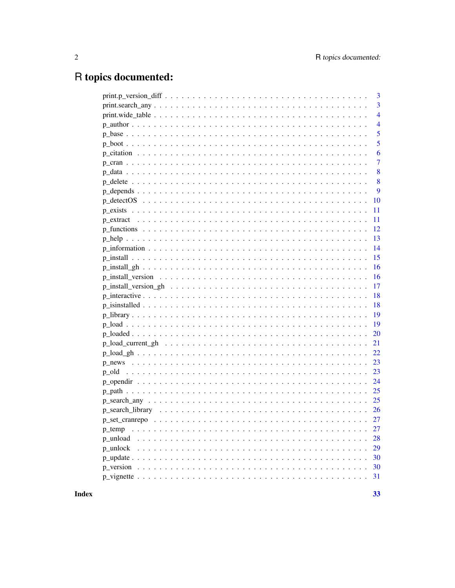## R topics documented:

|                                                                                                                             | 3              |
|-----------------------------------------------------------------------------------------------------------------------------|----------------|
|                                                                                                                             | 3              |
|                                                                                                                             | $\overline{4}$ |
|                                                                                                                             | $\overline{4}$ |
|                                                                                                                             | 5              |
|                                                                                                                             | 5              |
|                                                                                                                             | 6              |
|                                                                                                                             | 7              |
|                                                                                                                             | 8              |
|                                                                                                                             | 8              |
|                                                                                                                             | 9              |
|                                                                                                                             | 10             |
|                                                                                                                             | 11             |
|                                                                                                                             | 11             |
|                                                                                                                             | 12             |
|                                                                                                                             | 13             |
|                                                                                                                             | 14             |
|                                                                                                                             | 15             |
|                                                                                                                             | 16             |
|                                                                                                                             | 16             |
|                                                                                                                             | 17             |
|                                                                                                                             | 18             |
|                                                                                                                             | 18             |
|                                                                                                                             | 19             |
|                                                                                                                             | 19             |
|                                                                                                                             | 20             |
|                                                                                                                             | 21             |
|                                                                                                                             | 22             |
|                                                                                                                             | 23             |
|                                                                                                                             | 23             |
|                                                                                                                             |                |
|                                                                                                                             |                |
|                                                                                                                             |                |
|                                                                                                                             |                |
|                                                                                                                             |                |
| $p_t$ temp                                                                                                                  | 27             |
| p unload                                                                                                                    | 28             |
| p_unlock                                                                                                                    | 29             |
|                                                                                                                             | 30             |
| p_version<br>a dia kaominina mpikambana amin'ny fivondronan-kaominin'i Nouvelle-Alexandre ao amin'ny fivondronan-kaominin'i | 30             |
|                                                                                                                             | 31             |
|                                                                                                                             |                |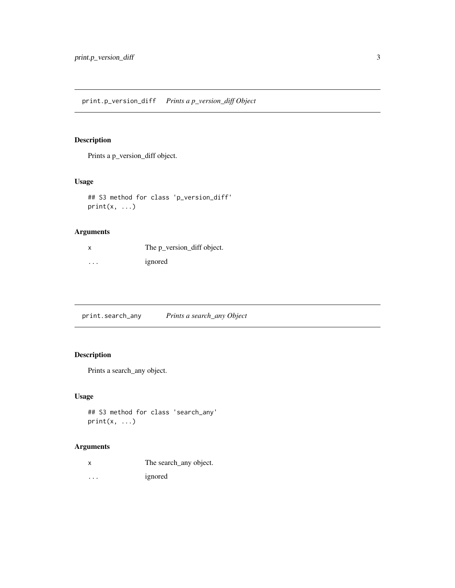<span id="page-2-0"></span>Prints a p\_version\_diff object.

## Usage

```
## S3 method for class 'p_version_diff'
print(x, \ldots)
```
## Arguments

| x | The p_version_diff object. |
|---|----------------------------|
| . | ignored                    |

print.search\_any *Prints a search\_any Object*

## Description

Prints a search\_any object.

## Usage

```
## S3 method for class 'search_any'
print(x, \ldots)
```
## Arguments

| The search_any object. |
|------------------------|
|                        |

... ignored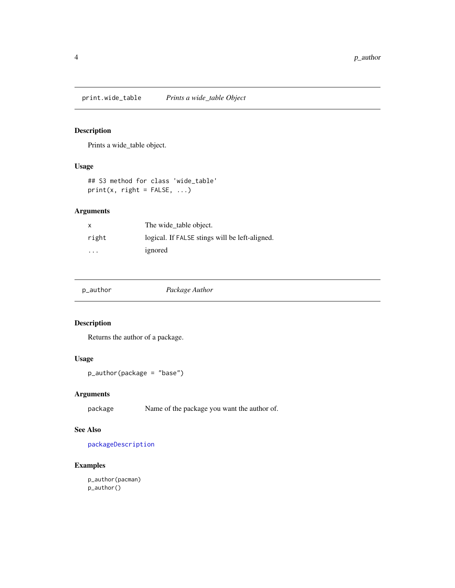<span id="page-3-0"></span>print.wide\_table *Prints a wide\_table Object*

## Description

Prints a wide\_table object.

#### Usage

```
## S3 method for class 'wide_table'
print(x, right = FALSE, ...)
```
## Arguments

| X                       | The wide table object.                         |
|-------------------------|------------------------------------------------|
| right                   | logical. If FALSE stings will be left-aligned. |
| $\cdot$ $\cdot$ $\cdot$ | ignored                                        |

| Package Author<br>p_author |
|----------------------------|
|----------------------------|

## Description

Returns the author of a package.

#### Usage

p\_author(package = "base")

## Arguments

package Name of the package you want the author of.

## See Also

[packageDescription](#page-0-0)

## Examples

p\_author(pacman) p\_author()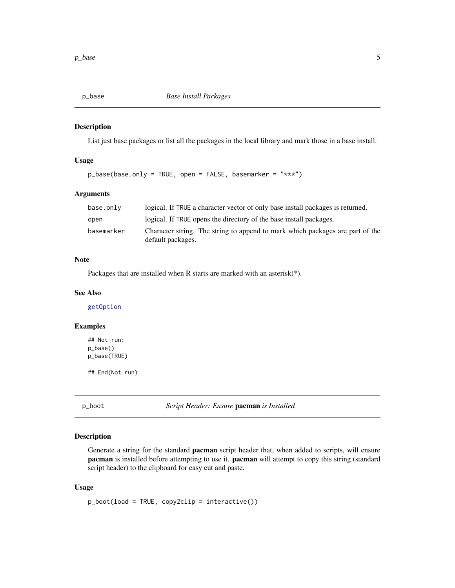<span id="page-4-0"></span>

List just base packages or list all the packages in the local library and mark those in a base install.

## Usage

p\_base(base.only = TRUE, open = FALSE, basemarker = "\*\*\*")

#### Arguments

| base.only  | logical. If TRUE a character vector of only base install packages is returned.                     |
|------------|----------------------------------------------------------------------------------------------------|
| open       | logical. If TRUE opens the directory of the base install packages.                                 |
| basemarker | Character string. The string to append to mark which packages are part of the<br>default packages. |

## Note

Packages that are installed when R starts are marked with an asterisk(\*).

#### See Also

[getOption](#page-0-0)

## Examples

## Not run: p\_base() p\_base(TRUE)

## End(Not run)

p\_boot *Script Header: Ensure* pacman *is Installed*

## Description

Generate a string for the standard **pacman** script header that, when added to scripts, will ensure pacman is installed before attempting to use it. pacman will attempt to copy this string (standard script header) to the clipboard for easy cut and paste.

#### Usage

p\_boot(load = TRUE, copy2clip = interactive())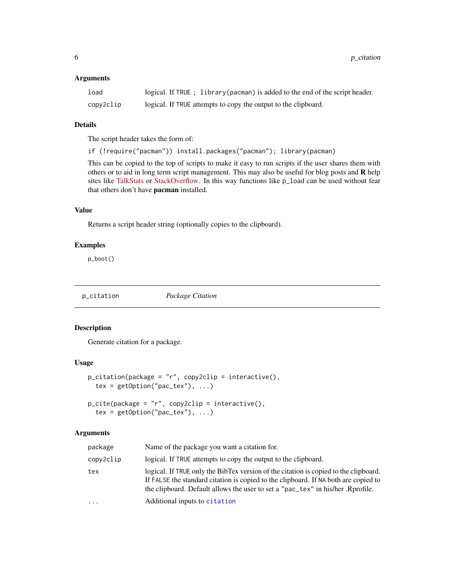#### <span id="page-5-0"></span>Arguments

| load      | logical. If TRUE ; library (pacman) is added to the end of the script header. |
|-----------|-------------------------------------------------------------------------------|
| copy2clip | logical. If TRUE attempts to copy the output to the clipboard.                |

## Details

The script header takes the form of:

if (!require("pacman")) install.packages("pacman"); library(pacman)

This can be copied to the top of scripts to make it easy to run scripts if the user shares them with others or to aid in long term script management. This may also be useful for blog posts and  $\bf{R}$  help sites like [TalkStats](http://www.talkstats.com/) or [StackOverflow.](http://stackoverflow.com/questions/tagged/r) In this way functions like p\_load can be used without fear that others don't have pacman installed.

## Value

Returns a script header string (optionally copies to the clipboard).

## Examples

p\_boot()

p\_citation *Package Citation*

## Description

Generate citation for a package.

## Usage

```
p_citation(package = "r", copy2clip = interactive(),
  tex = getOption("pac\_tex"), ...
```
p\_cite(package = "r", copy2clip = interactive(), tex = getOption("pac\_tex"), ...)

#### Arguments

| package   | Name of the package you want a citation for.                                                                                                                                                                                                                   |
|-----------|----------------------------------------------------------------------------------------------------------------------------------------------------------------------------------------------------------------------------------------------------------------|
| copy2clip | logical. If TRUE attempts to copy the output to the clipboard.                                                                                                                                                                                                 |
| tex       | logical. If TRUE only the BibTex version of the citation is copied to the clipboard.<br>If FALSE the standard citation is copied to the clipboard. If NA both are copied to<br>the clipboard. Default allows the user to set a "pac_tex" in his/her. Rprofile. |
| $\cdots$  | Additional inputs to citation                                                                                                                                                                                                                                  |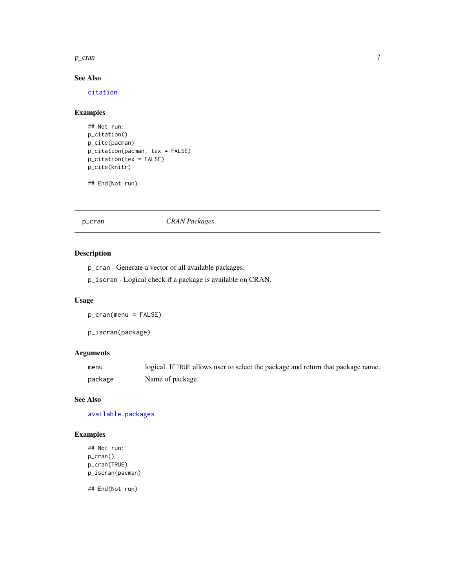#### <span id="page-6-0"></span> $p_{\text{c}}$  ran  $\frac{1}{2}$  7

## See Also

[citation](#page-0-0)

## Examples

```
## Not run:
p_citation()
p_cite(pacman)
p_citation(pacman, tex = FALSE)
p_citation(tex = FALSE)
p_cite(knitr)
```

```
## End(Not run)
```
p\_cran *CRAN Packages*

## Description

p\_cran - Generate a vector of all available packages.

p\_iscran - Logical check if a package is available on CRAN.

## Usage

p\_cran(menu = FALSE)

p\_iscran(package)

## Arguments

| menu    | logical. If TRUE allows user to select the package and return that package name. |
|---------|----------------------------------------------------------------------------------|
| package | Name of package.                                                                 |

## See Also

[available.packages](#page-0-0)

## Examples

```
## Not run:
p_cran()
p_cran(TRUE)
p_iscran(pacman)
```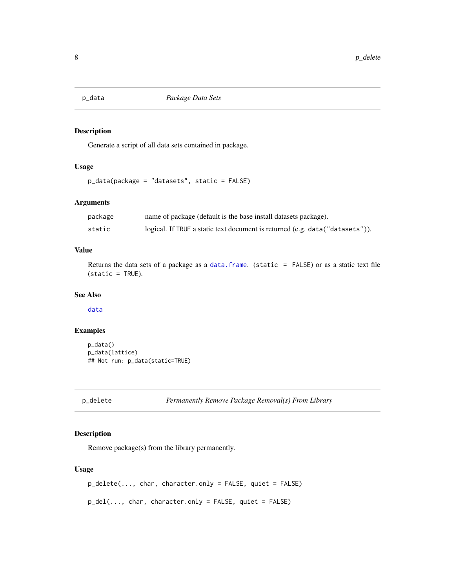<span id="page-7-0"></span>

Generate a script of all data sets contained in package.

#### Usage

```
p_data(package = "datasets", static = FALSE)
```
## Arguments

| package | name of package (default is the base install datasets package).              |
|---------|------------------------------------------------------------------------------|
| static  | logical. If TRUE a static text document is returned (e.g. data("datasets")). |

## Value

Returns the data sets of a package as a [data.frame](#page-0-0). (static = FALSE) or as a static text file  $(static = TRUE).$ 

#### See Also

[data](#page-0-0)

## Examples

p\_data() p\_data(lattice) ## Not run: p\_data(static=TRUE)

p\_delete *Permanently Remove Package Removal(s) From Library*

## Description

Remove package(s) from the library permanently.

## Usage

p\_delete(..., char, character.only = FALSE, quiet = FALSE)

p\_del(..., char, character.only = FALSE, quiet = FALSE)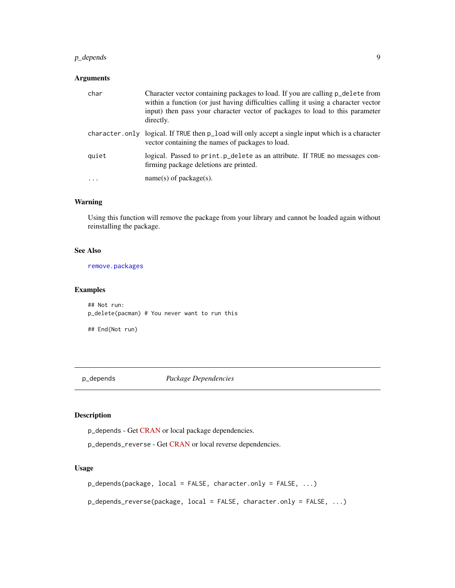## <span id="page-8-0"></span>p\_depends 9

## Arguments

| char  | Character vector containing packages to load. If you are calling p_delete from<br>within a function (or just having difficulties calling it using a character vector<br>input) then pass your character vector of packages to load to this parameter<br>directly. |
|-------|-------------------------------------------------------------------------------------------------------------------------------------------------------------------------------------------------------------------------------------------------------------------|
|       | character.only logical. If TRUE then p_load will only accept a single input which is a character<br>vector containing the names of packages to load.                                                                                                              |
| quiet | logical. Passed to print. p_delete as an attribute. If TRUE no messages con-<br>firming package deletions are printed.                                                                                                                                            |
|       | $name(s)$ of package(s).                                                                                                                                                                                                                                          |

## Warning

Using this function will remove the package from your library and cannot be loaded again without reinstalling the package.

#### See Also

[remove.packages](#page-0-0)

#### Examples

## Not run: p\_delete(pacman) # You never want to run this

## End(Not run)

p\_depends *Package Dependencies*

## Description

p\_depends - Get [CRAN](https://cran.r-project.org/) or local package dependencies.

p\_depends\_reverse - Get [CRAN](https://cran.r-project.org/) or local reverse dependencies.

#### Usage

p\_depends(package, local = FALSE, character.only = FALSE, ...)

p\_depends\_reverse(package, local = FALSE, character.only = FALSE, ...)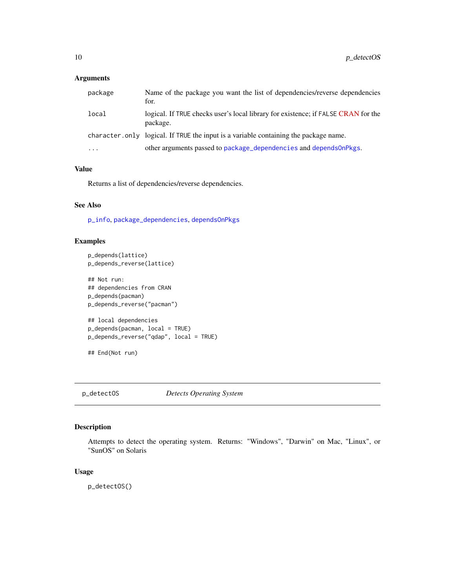## <span id="page-9-0"></span>Arguments

| package  | Name of the package you want the list of dependencies/reverse dependencies<br>for.            |
|----------|-----------------------------------------------------------------------------------------------|
| local    | logical. If TRUE checks user's local library for existence; if FALSE CRAN for the<br>package. |
|          | character, only logical. If TRUE the input is a variable containing the package name.         |
| $\cdots$ | other arguments passed to package_dependencies and depends0nPkgs.                             |

### Value

Returns a list of dependencies/reverse dependencies.

## See Also

[p\\_info](#page-13-1), [package\\_dependencies](#page-0-0), [dependsOnPkgs](#page-0-0)

## Examples

```
p_depends(lattice)
p_depends_reverse(lattice)
```

```
## Not run:
## dependencies from CRAN
p_depends(pacman)
p_depends_reverse("pacman")
## local dependencies
p_depends(pacman, local = TRUE)
p_depends_reverse("qdap", local = TRUE)
## End(Not run)
```
p\_detectOS *Detects Operating System*

## Description

Attempts to detect the operating system. Returns: "Windows", "Darwin" on Mac, "Linux", or "SunOS" on Solaris

#### Usage

p\_detectOS()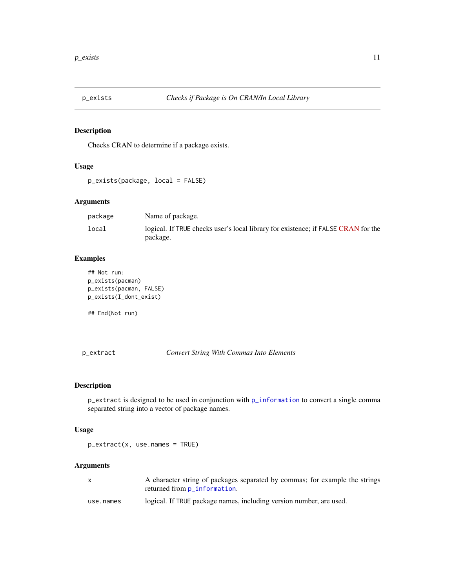<span id="page-10-0"></span>

Checks CRAN to determine if a package exists.

#### Usage

```
p_exists(package, local = FALSE)
```
## Arguments

| package | Name of package.                                                                              |
|---------|-----------------------------------------------------------------------------------------------|
| local   | logical. If TRUE checks user's local library for existence; if FALSE CRAN for the<br>package. |

## Examples

```
## Not run:
p_exists(pacman)
p_exists(pacman, FALSE)
p_exists(I_dont_exist)
```
## End(Not run)

p\_extract *Convert String With Commas Into Elements*

## Description

p\_extract is designed to be used in conjunction with [p\\_information](#page-13-2) to convert a single comma separated string into a vector of package names.

## Usage

```
p_extract(x, use.names = TRUE)
```
## Arguments

| A character string of packages separated by commas; for example the strings |  |  |
|-----------------------------------------------------------------------------|--|--|
| returned from p_information.                                                |  |  |
|                                                                             |  |  |

use.names logical. If TRUE package names, including version number, are used.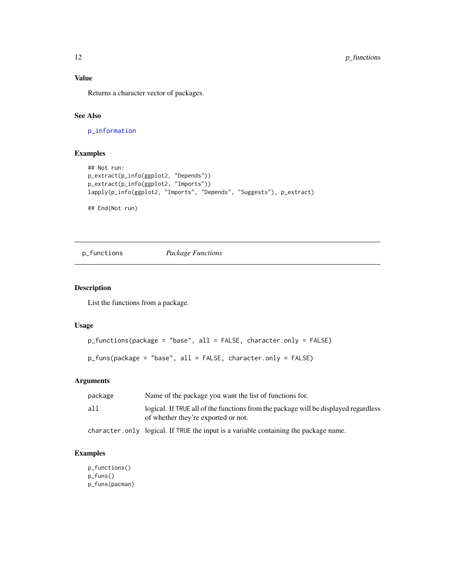## <span id="page-11-0"></span>Value

Returns a character vector of packages.

## See Also

[p\\_information](#page-13-2)

## Examples

```
## Not run:
p_extract(p_info(ggplot2, "Depends"))
p_extract(p_info(ggplot2, "Imports"))
lapply(p_info(ggplot2, "Imports", "Depends", "Suggests"), p_extract)
```
## End(Not run)

p\_functions *Package Functions*

#### Description

List the functions from a package.

#### Usage

```
p_functions(package = "base", all = FALSE, character.only = FALSE)
```

```
p_funs(package = "base", all = FALSE, character.only = FALSE)
```
## Arguments

| package | Name of the package you want the list of functions for.                                                                    |
|---------|----------------------------------------------------------------------------------------------------------------------------|
| all     | logical. If TRUE all of the functions from the package will be displayed regardless<br>of whether they're exported or not. |
|         | character. only logical. If TRUE the input is a variable containing the package name.                                      |

## Examples

```
p_functions()
p_funs()
p_funs(pacman)
```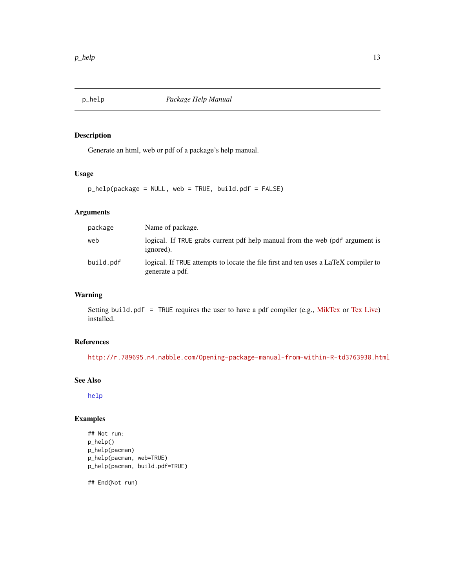<span id="page-12-0"></span>

Generate an html, web or pdf of a package's help manual.

## Usage

p\_help(package = NULL, web = TRUE, build.pdf = FALSE)

## Arguments

| package   | Name of package.                                                                                       |
|-----------|--------------------------------------------------------------------------------------------------------|
| web       | logical. If TRUE grabs current pdf help manual from the web (pdf argument is<br>ignored).              |
| build.pdf | logical. If TRUE attempts to locate the file first and ten uses a LaTeX compiler to<br>generate a pdf. |

## Warning

Setting build.pdf = TRUE requires the user to have a pdf compiler (e.g., [MikTex](http://miktex.org/) or [Tex Live\)](https://www.tug.org/texlive/) installed.

## References

<http://r.789695.n4.nabble.com/Opening-package-manual-from-within-R-td3763938.html>

#### See Also

[help](#page-0-0)

## Examples

## Not run: p\_help() p\_help(pacman) p\_help(pacman, web=TRUE) p\_help(pacman, build.pdf=TRUE)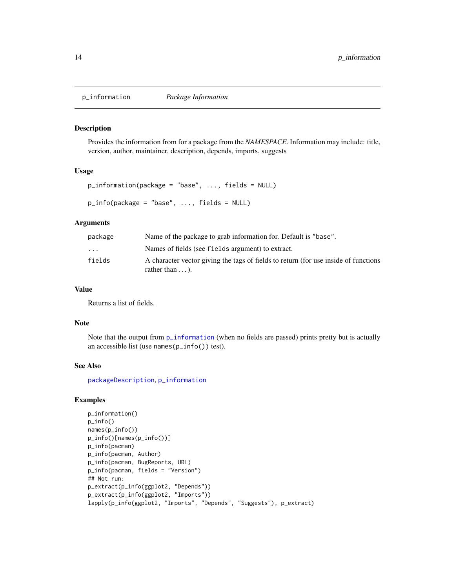<span id="page-13-2"></span><span id="page-13-1"></span><span id="page-13-0"></span>

Provides the information from for a package from the *NAMESPACE*. Information may include: title, version, author, maintainer, description, depends, imports, suggests

## Usage

```
p_information(package = "base", ..., fields = NULL)
p_info(package = "base", ..., fields = NULL)
```
#### Arguments

| package                 | Name of the package to grab information for. Default is "base".                                               |
|-------------------------|---------------------------------------------------------------------------------------------------------------|
| $\cdot$ $\cdot$ $\cdot$ | Names of fields (see fields argument) to extract.                                                             |
| fields                  | A character vector giving the tags of fields to return (for use inside of functions<br>rather than $\dots$ ). |

## Value

Returns a list of fields.

#### Note

Note that the output from  $p_{i}$  information (when no fields are passed) prints pretty but is actually an accessible list (use names(p\_info()) test).

#### See Also

[packageDescription](#page-0-0), [p\\_information](#page-13-2)

## Examples

```
p_information()
p_info()
names(p_info())
p_info()[names(p_info())]
p_info(pacman)
p_info(pacman, Author)
p_info(pacman, BugReports, URL)
p_info(pacman, fields = "Version")
## Not run:
p_extract(p_info(ggplot2, "Depends"))
p_extract(p_info(ggplot2, "Imports"))
lapply(p_info(ggplot2, "Imports", "Depends", "Suggests"), p_extract)
```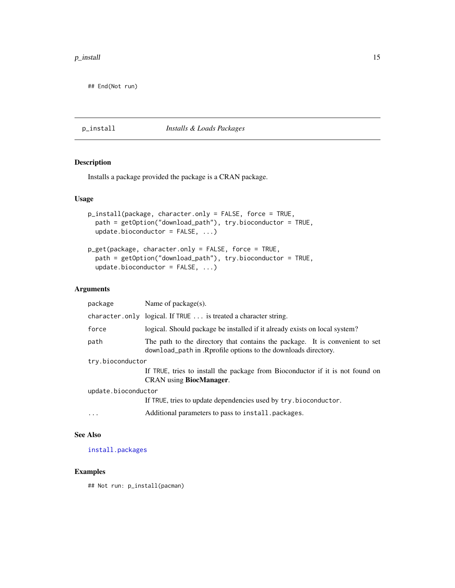<span id="page-14-0"></span>## End(Not run)

p\_install *Installs & Loads Packages*

#### Description

Installs a package provided the package is a CRAN package.

#### Usage

```
p_install(package, character.only = FALSE, force = TRUE,
 path = getOption("download_path"), try.bioconductor = TRUE,
  update.bioconductor = FALSE, ...)
```

```
p_get(package, character.only = FALSE, force = TRUE,
 path = getOption("download_path"), try.bioconductor = TRUE,
  update.bioconductor = FALSE, ...)
```
## Arguments

| package             | Name of $package(s)$ .                                                                                                                          |
|---------------------|-------------------------------------------------------------------------------------------------------------------------------------------------|
|                     | character.only logical. If TRUE  is treated a character string.                                                                                 |
| force               | logical. Should package be installed if it already exists on local system?                                                                      |
| path                | The path to the directory that contains the package. It is convenient to set<br>download_path in . Rprofile options to the downloads directory. |
| try.bioconductor    |                                                                                                                                                 |
|                     | If TRUE, tries to install the package from Bioconductor if it is not found on<br><b>CRAN</b> using <b>BiocManager</b> .                         |
| update.bioconductor |                                                                                                                                                 |
|                     | If TRUE, tries to update dependencies used by try.bioconductor.                                                                                 |
| $\cdots$            | Additional parameters to pass to install. packages.                                                                                             |

#### See Also

[install.packages](#page-0-0)

## Examples

## Not run: p\_install(pacman)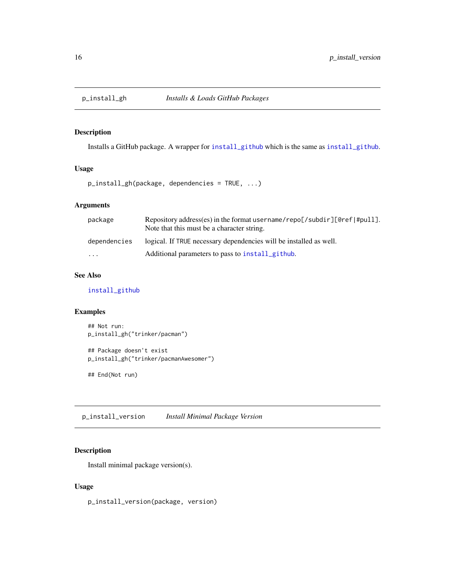<span id="page-15-0"></span>

Installs a GitHub package. A wrapper for [install\\_github](#page-0-0) which is the same as [install\\_github](#page-0-0).

## Usage

p\_install\_gh(package, dependencies = TRUE, ...)

## Arguments

| package      | Repository address(es) in the format username/repo $\llbracket$ /subdir][@ref #pull].<br>Note that this must be a character string. |
|--------------|-------------------------------------------------------------------------------------------------------------------------------------|
| dependencies | logical. If TRUE necessary dependencies will be installed as well.                                                                  |
| $\cdot$      | Additional parameters to pass to install github.                                                                                    |

## See Also

[install\\_github](#page-0-0)

## Examples

```
## Not run:
p_install_gh("trinker/pacman")
```

```
## Package doesn't exist
p_install_gh("trinker/pacmanAwesomer")
```
## End(Not run)

p\_install\_version *Install Minimal Package Version*

#### Description

Install minimal package version(s).

## Usage

p\_install\_version(package, version)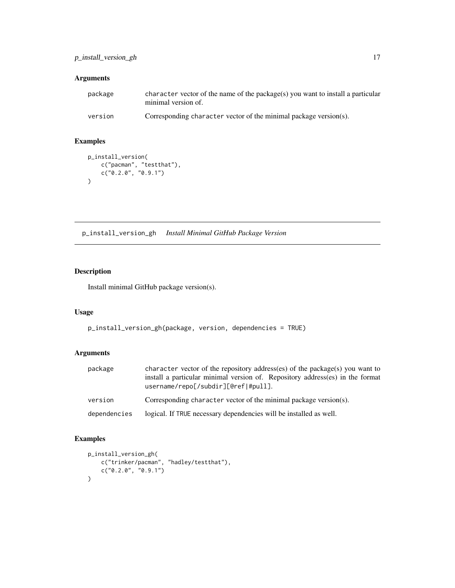## <span id="page-16-0"></span>Arguments

| package | character vector of the name of the package(s) you want to install a particular<br>minimal version of. |
|---------|--------------------------------------------------------------------------------------------------------|
| version | Corresponding character vector of the minimal package version(s).                                      |

## Examples

```
p_install_version(
     c("pacman", "testthat"),
     c("0.2.0", "0.9.1")
\mathcal{L}
```
p\_install\_version\_gh *Install Minimal GitHub Package Version*

## Description

Install minimal GitHub package version(s).

## Usage

```
p_install_version_gh(package, version, dependencies = TRUE)
```
## Arguments

| package      | character vector of the repository address(es) of the package(s) you want to<br>install a particular minimal version of. Repository address(es) in the format<br>username/repo[/subdir][@ref #pull]. |
|--------------|------------------------------------------------------------------------------------------------------------------------------------------------------------------------------------------------------|
| version      | Corresponding character vector of the minimal package version(s).                                                                                                                                    |
| dependencies | logical. If TRUE necessary dependencies will be installed as well.                                                                                                                                   |

## Examples

```
p_install_version_gh(
    c("trinker/pacman", "hadley/testthat"),
    c("0.2.0", "0.9.1")\mathcal{L}
```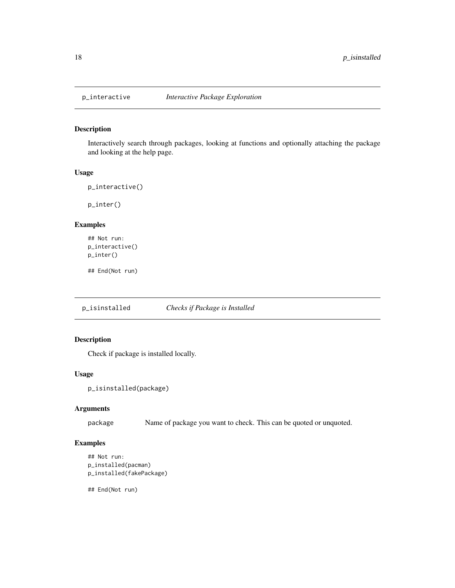<span id="page-17-0"></span>

Interactively search through packages, looking at functions and optionally attaching the package and looking at the help page.

#### Usage

```
p_interactive()
```
p\_inter()

## Examples

```
## Not run:
p_interactive()
p_inter()
```
## End(Not run)

p\_isinstalled *Checks if Package is Installed*

## Description

Check if package is installed locally.

#### Usage

```
p_isinstalled(package)
```
## Arguments

package Name of package you want to check. This can be quoted or unquoted.

## Examples

```
## Not run:
p_installed(pacman)
p_installed(fakePackage)
```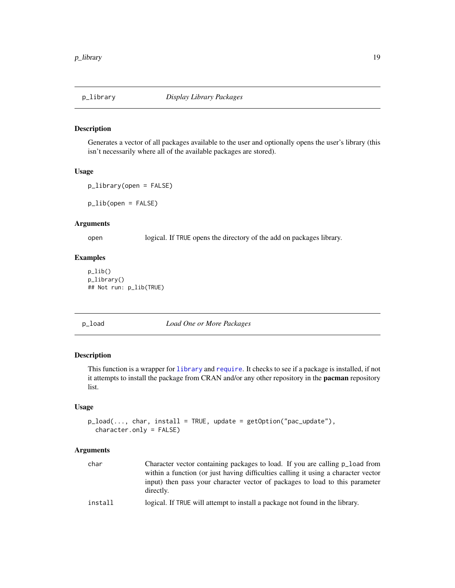<span id="page-18-0"></span>

Generates a vector of all packages available to the user and optionally opens the user's library (this isn't necessarily where all of the available packages are stored).

#### Usage

p\_library(open = FALSE)

p\_lib(open = FALSE)

#### Arguments

open logical. If TRUE opens the directory of the add on packages library.

## Examples

p\_lib() p\_library() ## Not run: p\_lib(TRUE)

## p\_load *Load One or More Packages*

## Description

This function is a wrapper for [library](#page-0-0) and [require](#page-0-0). It checks to see if a package is installed, if not it attempts to install the package from CRAN and/or any other repository in the **pacman** repository list.

#### Usage

```
p\_load(..., char, install = TRUE, update = getOption("pac\_update"),character.only = FALSE)
```
#### Arguments

| char    | Character vector containing packages to load. If you are calling p_load from              |
|---------|-------------------------------------------------------------------------------------------|
|         | within a function (or just having difficulties calling it using a character vector        |
|         | input) then pass your character vector of packages to load to this parameter<br>directly. |
| install | logical. If TRUE will attempt to install a package not found in the library.              |
|         |                                                                                           |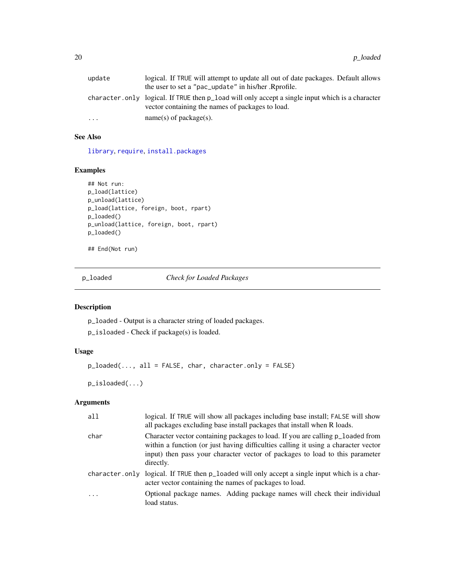<span id="page-19-0"></span>

| update    | logical. If TRUE will attempt to update all out of date packages. Default allows<br>the user to set a "pac_update" in his/her. Rprofile.             |
|-----------|------------------------------------------------------------------------------------------------------------------------------------------------------|
|           | character.only logical. If TRUE then p_load will only accept a single input which is a character<br>vector containing the names of packages to load. |
| $\ddotsc$ | $name(s)$ of package(s).                                                                                                                             |

## See Also

[library](#page-0-0), [require](#page-0-0), [install.packages](#page-0-0)

## Examples

```
## Not run:
p_load(lattice)
p_unload(lattice)
p_load(lattice, foreign, boot, rpart)
p_loaded()
p_unload(lattice, foreign, boot, rpart)
p_loaded()
```
## End(Not run)

p\_loaded *Check for Loaded Packages*

## Description

p\_loaded - Output is a character string of loaded packages.

p\_isloaded - Check if package(s) is loaded.

## Usage

```
p_loaded(..., all = FALSE, char, character.only = FALSE)
```
p\_isloaded(...)

## Arguments

| all       | logical. If TRUE will show all packages including base install; FALSE will show<br>all packages excluding base install packages that install when R loads.                                                                                                        |
|-----------|-------------------------------------------------------------------------------------------------------------------------------------------------------------------------------------------------------------------------------------------------------------------|
| char      | Character vector containing packages to load. If you are calling p_loaded from<br>within a function (or just having difficulties calling it using a character vector<br>input) then pass your character vector of packages to load to this parameter<br>directly. |
|           | character.only logical. If TRUE then p_loaded will only accept a single input which is a char-<br>acter vector containing the names of packages to load.                                                                                                          |
| $\ddotsc$ | Optional package names. Adding package names will check their individual<br>load status.                                                                                                                                                                          |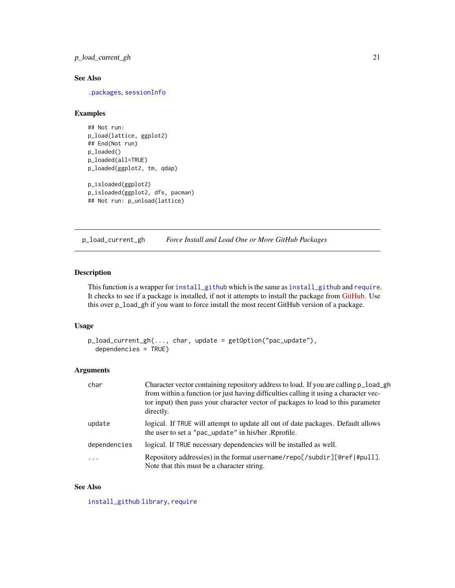## <span id="page-20-0"></span>p\_load\_current\_gh 21

## See Also

[.packages](#page-0-0), [sessionInfo](#page-0-0)

#### Examples

```
## Not run:
p_load(lattice, ggplot2)
## End(Not run)
p_loaded()
p_loaded(all=TRUE)
p_loaded(ggplot2, tm, qdap)
p_isloaded(ggplot2)
p_isloaded(ggplot2, dfs, pacman)
```

```
## Not run: p_unload(lattice)
```
p\_load\_current\_gh *Force Install and Load One or More GitHub Packages*

#### Description

This function is a wrapper for [install\\_github](#page-0-0) which is the same as install\_github and [require](#page-0-0). It checks to see if a package is installed, if not it attempts to install the package from [GitHub.](https://github.com) Use this over p\_load\_gh if you want to force install the most recent GitHub version of a package.

#### Usage

```
p_load_current_gh(..., char, update = getOption("pac_update"),
  dependencies = TRUE)
```
#### Arguments

| char         | Character vector containing repository address to load. If you are calling p_load_gh<br>from within a function (or just having difficulties calling it using a character vec-<br>tor input) then pass your character vector of packages to load to this parameter<br>directly. |
|--------------|--------------------------------------------------------------------------------------------------------------------------------------------------------------------------------------------------------------------------------------------------------------------------------|
| update       | logical. If TRUE will attempt to update all out of date packages. Default allows<br>the user to set a "pac_update" in his/her. Rprofile.                                                                                                                                       |
| dependencies | logical. If TRUE necessary dependencies will be installed as well.                                                                                                                                                                                                             |
| .            | Repository address(es) in the format username/repo[/subdir][@ref #pull].<br>Note that this must be a character string.                                                                                                                                                         |

## See Also

[install\\_github](#page-0-0) [library](#page-0-0), [require](#page-0-0)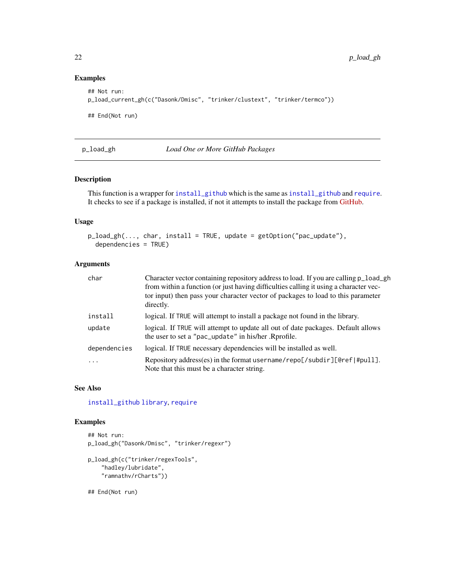## Examples

```
## Not run:
p_load_current_gh(c("Dasonk/Dmisc", "trinker/clustext", "trinker/termco"))
## End(Not run)
```
p\_load\_gh *Load One or More GitHub Packages*

## Description

This function is a wrapper for [install\\_github](#page-0-0) which is the same as [install\\_github](#page-0-0) and [require](#page-0-0). It checks to see if a package is installed, if not it attempts to install the package from [GitHub.](https://github.com)

## Usage

```
p_load_gh(..., char, install = TRUE, update = getOption("pac_update"),
  dependencies = TRUE)
```
#### Arguments

| char         | Character vector containing repository address to load. If you are calling p_load_gh<br>from within a function (or just having difficulties calling it using a character vec-<br>tor input) then pass your character vector of packages to load to this parameter<br>directly. |
|--------------|--------------------------------------------------------------------------------------------------------------------------------------------------------------------------------------------------------------------------------------------------------------------------------|
| install      | logical. If TRUE will attempt to install a package not found in the library.                                                                                                                                                                                                   |
| update       | logical. If TRUE will attempt to update all out of date packages. Default allows<br>the user to set a "pac_update" in his/her. Rprofile.                                                                                                                                       |
| dependencies | logical. If TRUE necessary dependencies will be installed as well.                                                                                                                                                                                                             |
| $\cdot$      | Repository address(es) in the format username/repo[/subdir][@ref #pull].<br>Note that this must be a character string.                                                                                                                                                         |

#### See Also

[install\\_github](#page-0-0) [library](#page-0-0), [require](#page-0-0)

## Examples

```
## Not run:
p_load_gh("Dasonk/Dmisc", "trinker/regexr")
p_load_gh(c("trinker/regexTools",
    "hadley/lubridate",
    "ramnathv/rCharts"))
```
<span id="page-21-0"></span>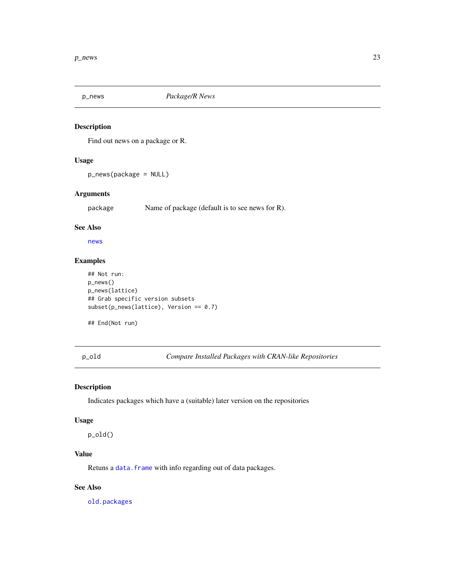<span id="page-22-0"></span>

Find out news on a package or R.

## Usage

p\_news(package = NULL)

## Arguments

package Name of package (default is to see news for R).

#### See Also

[news](#page-0-0)

## Examples

```
## Not run:
p_news()
p_news(lattice)
## Grab specific version subsets
subset(p_news(lattice), Version == 0.7)
```
## End(Not run)

p\_old *Compare Installed Packages with CRAN-like Repositories*

#### Description

Indicates packages which have a (suitable) later version on the repositories

#### Usage

p\_old()

## Value

Retuns a [data.frame](#page-0-0) with info regarding out of data packages.

## See Also

[old.packages](#page-0-0)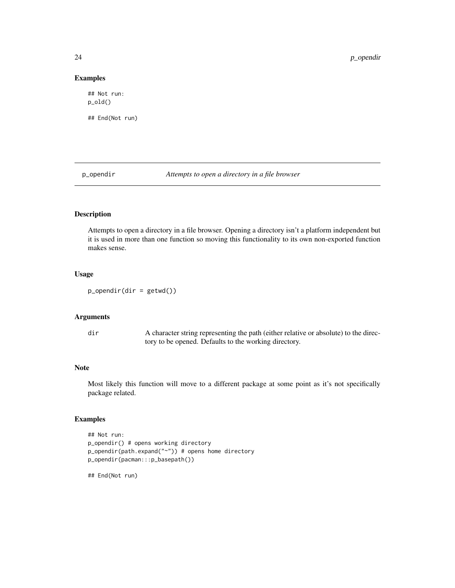## Examples

## Not run: p\_old() ## End(Not run)

p\_opendir *Attempts to open a directory in a file browser*

## Description

Attempts to open a directory in a file browser. Opening a directory isn't a platform independent but it is used in more than one function so moving this functionality to its own non-exported function makes sense.

## Usage

 $p\_operatordir$  = getwd())

## Arguments

dir A character string representing the path (either relative or absolute) to the directory to be opened. Defaults to the working directory.

## Note

Most likely this function will move to a different package at some point as it's not specifically package related.

#### Examples

```
## Not run:
p_opendir() # opens working directory
p_opendir(path.expand("~")) # opens home directory
p_opendir(pacman:::p_basepath())
```
<span id="page-23-0"></span>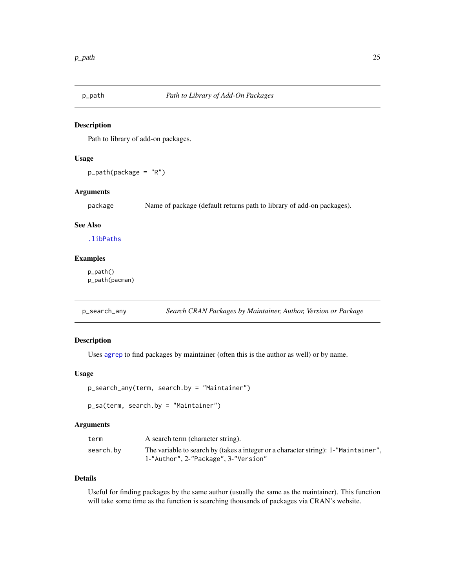<span id="page-24-0"></span>

Path to library of add-on packages.

#### Usage

p\_path(package = "R")

## Arguments

package Name of package (default returns path to library of add-on packages).

## See Also

[.libPaths](#page-0-0)

#### Examples

p\_path() p\_path(pacman)

p\_search\_any *Search CRAN Packages by Maintainer, Author, Version or Package*

#### Description

Uses [agrep](#page-0-0) to find packages by maintainer (often this is the author as well) or by name.

#### Usage

```
p_search_any(term, search.by = "Maintainer")
```

```
p_sa(term, search.by = "Maintainer")
```
#### Arguments

| term      | A search term (character string).                                                  |
|-----------|------------------------------------------------------------------------------------|
| search.by | The variable to search by (takes a integer or a character string): 1-"Maintainer", |
|           | 1-"Author", 2-"Package", 3-"Version"                                               |

## Details

Useful for finding packages by the same author (usually the same as the maintainer). This function will take some time as the function is searching thousands of packages via CRAN's website.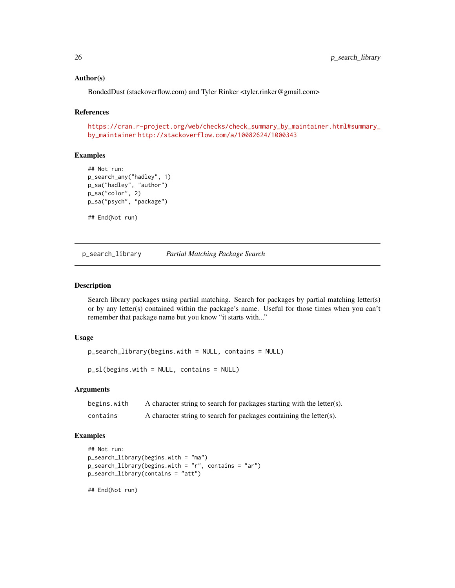#### <span id="page-25-0"></span>Author(s)

BondedDust (stackoverflow.com) and Tyler Rinker <tyler.rinker@gmail.com>

## References

[https://cran.r-project.org/web/checks/check\\_summary\\_by\\_maintainer.html#summary\\_](https://cran.r-project.org/web/checks/check_summary_by_maintainer.html#summary_by_maintainer) [by\\_maintainer](https://cran.r-project.org/web/checks/check_summary_by_maintainer.html#summary_by_maintainer) <http://stackoverflow.com/a/10082624/1000343>

## Examples

```
## Not run:
p_search_any("hadley", 1)
p_sa("hadley", "author")
p_sa("color", 2)
p_sa("psych", "package")
## End(Not run)
```
p\_search\_library *Partial Matching Package Search*

## Description

Search library packages using partial matching. Search for packages by partial matching letter(s) or by any letter(s) contained within the package's name. Useful for those times when you can't remember that package name but you know "it starts with..."

#### Usage

```
p_search_library(begins.with = NULL, contains = NULL)
```

```
p_sl(begins.with = NULL, contains = NULL)
```
#### Arguments

| begins.with | A character string to search for packages starting with the letter(s). |
|-------------|------------------------------------------------------------------------|
| contains    | A character string to search for packages containing the letter(s).    |

#### Examples

```
## Not run:
p_search_library(begins.with = "ma")
p_search_library(begins.with = "r", contains = "ar")
p_search_library(contains = "att")
```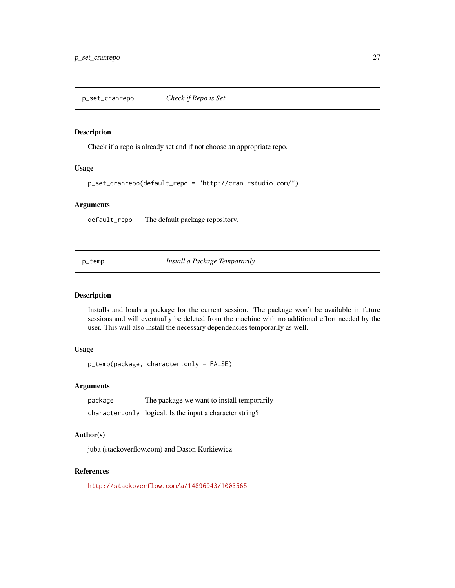<span id="page-26-0"></span>Check if a repo is already set and if not choose an appropriate repo.

#### Usage

p\_set\_cranrepo(default\_repo = "http://cran.rstudio.com/")

#### Arguments

default\_repo The default package repository.

p\_temp *Install a Package Temporarily*

#### Description

Installs and loads a package for the current session. The package won't be available in future sessions and will eventually be deleted from the machine with no additional effort needed by the user. This will also install the necessary dependencies temporarily as well.

## Usage

p\_temp(package, character.only = FALSE)

## Arguments

| package | The package we want to install temporarily               |
|---------|----------------------------------------------------------|
|         | character.only logical. Is the input a character string? |

#### Author(s)

juba (stackoverflow.com) and Dason Kurkiewicz

## References

<http://stackoverflow.com/a/14896943/1003565>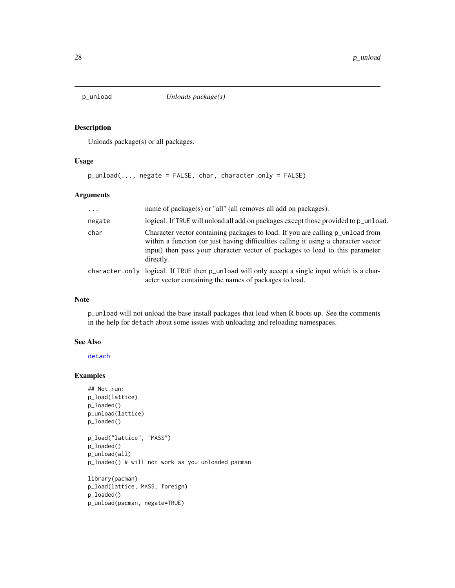<span id="page-27-0"></span>

Unloads package(s) or all packages.

## Usage

```
p_unload(..., negate = FALSE, char, character.only = FALSE)
```
## Arguments

| $\ddotsc$ | name of $package(s)$ or "all" (all removes all add on $package(s)$ .                                                                                                                                                                                              |
|-----------|-------------------------------------------------------------------------------------------------------------------------------------------------------------------------------------------------------------------------------------------------------------------|
| negate    | logical. If TRUE will unload all add on packages except those provided to p_unload.                                                                                                                                                                               |
| char      | Character vector containing packages to load. If you are calling p_unload from<br>within a function (or just having difficulties calling it using a character vector<br>input) then pass your character vector of packages to load to this parameter<br>directly. |
|           | character.only logical. If TRUE then p_unload will only accept a single input which is a char-<br>acter vector containing the names of packages to load.                                                                                                          |

## Note

p\_unload will not unload the base install packages that load when R boots up. See the comments in the help for detach about some issues with unloading and reloading namespaces.

#### See Also

[detach](#page-0-0)

## Examples

```
## Not run:
p_load(lattice)
p_loaded()
p_unload(lattice)
p_loaded()
p_load("lattice", "MASS")
p_loaded()
p_unload(all)
p_loaded() # will not work as you unloaded pacman
library(pacman)
p_load(lattice, MASS, foreign)
p_loaded()
p_unload(pacman, negate=TRUE)
```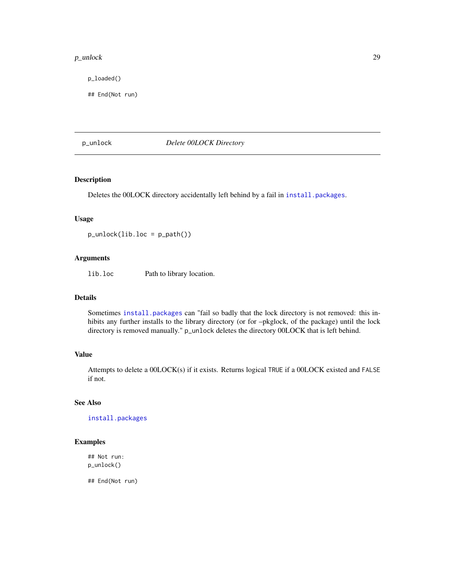#### <span id="page-28-0"></span>p\_unlock 29

p\_loaded()

## End(Not run)

p\_unlock *Delete 00LOCK Directory*

## Description

Deletes the 00LOCK directory accidentally left behind by a fail in [install.packages](#page-0-0).

#### Usage

 $p_$ unlock(lib.loc =  $p_$  $path()$ )

## Arguments

lib.loc Path to library location.

### Details

Sometimes [install.packages](#page-0-0) can "fail so badly that the lock directory is not removed: this inhibits any further installs to the library directory (or for –pkglock, of the package) until the lock directory is removed manually." p\_unlock deletes the directory 00LOCK that is left behind.

#### Value

Attempts to delete a 00LOCK(s) if it exists. Returns logical TRUE if a 00LOCK existed and FALSE if not.

## See Also

[install.packages](#page-0-0)

#### Examples

## Not run: p\_unlock()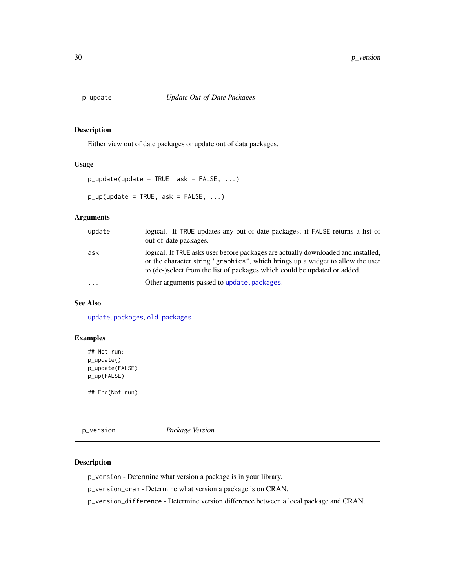<span id="page-29-0"></span>

Either view out of date packages or update out of data packages.

### Usage

```
p_update(update = TRUE, ask = FALSE, \ldots)
```
 $p_{\text{u}}(update = TRUE, ask = FALSE, ...)$ 

## Arguments

| update  | logical. If TRUE updates any out-of-date packages; if FALSE returns a list of<br>out-of-date packages.                                                                                                                                           |
|---------|--------------------------------------------------------------------------------------------------------------------------------------------------------------------------------------------------------------------------------------------------|
| ask     | logical. If TRUE asks user before packages are actually downloaded and installed,<br>or the character string "graphics", which brings up a widget to allow the user<br>to (de-)select from the list of packages which could be updated or added. |
| $\cdot$ | Other arguments passed to update, packages.                                                                                                                                                                                                      |

## See Also

[update.packages](#page-0-0), [old.packages](#page-0-0)

## Examples

## Not run: p\_update() p\_update(FALSE) p\_up(FALSE)

## End(Not run)

p\_version *Package Version*

#### Description

p\_version - Determine what version a package is in your library.

p\_version\_cran - Determine what version a package is on CRAN.

p\_version\_difference - Determine version difference between a local package and CRAN.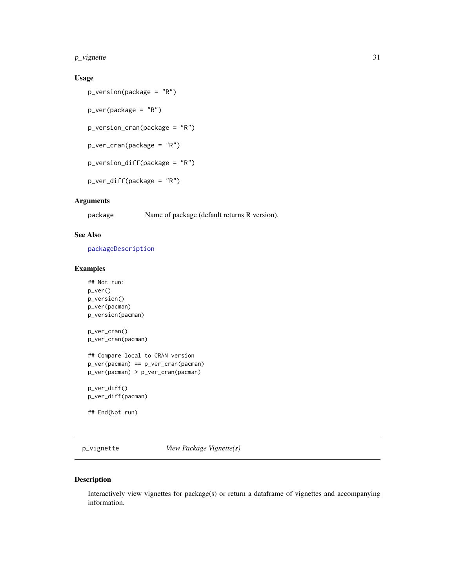<span id="page-30-0"></span> $p$ <sub>v</sub>ignette 31

## Usage

```
p_version(package = "R")
p_ver(package = "R")
p_version_cran(package = "R")
p_ver_cran(package = "R")
p_version_diff(package = "R")
p_ver_diff(package = "R")
```
## Arguments

package Name of package (default returns R version).

#### See Also

[packageDescription](#page-0-0)

## Examples

```
## Not run:
p_ver()
p_version()
p_ver(pacman)
p_version(pacman)
p_ver_cran()
p_ver_cran(pacman)
## Compare local to CRAN version
p_ver(pacman) == p_ver_cran(pacman)
p_ver(pacman) > p_ver_cran(pacman)
p_ver_diff()
p_ver_diff(pacman)
```
## End(Not run)

p\_vignette *View Package Vignette(s)*

#### Description

Interactively view vignettes for package(s) or return a dataframe of vignettes and accompanying information.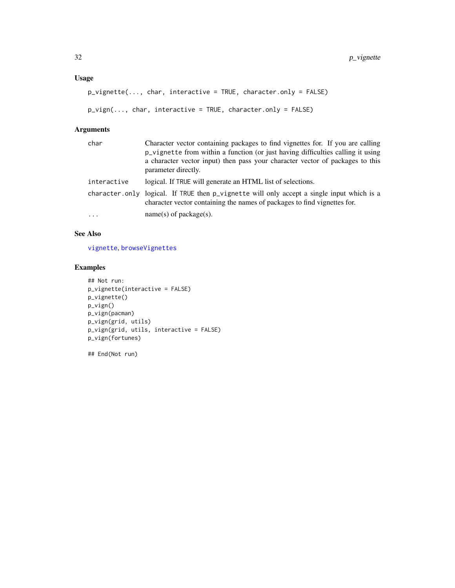## <span id="page-31-0"></span>Usage

```
p_vignette(..., char, interactive = TRUE, character.only = FALSE)
```

```
p_vign(..., char, interactive = TRUE, character.only = FALSE)
```
## Arguments

| char        | Character vector containing packages to find vignettes for. If you are calling<br>p_vignette from within a function (or just having difficulties calling it using<br>a character vector input) then pass your character vector of packages to this<br>parameter directly. |
|-------------|---------------------------------------------------------------------------------------------------------------------------------------------------------------------------------------------------------------------------------------------------------------------------|
| interactive | logical. If TRUE will generate an HTML list of selections.                                                                                                                                                                                                                |
|             | character.only logical. If TRUE then p_vignette will only accept a single input which is a<br>character vector containing the names of packages to find vignettes for.                                                                                                    |
| $\cdot$     | $name(s)$ of package(s).                                                                                                                                                                                                                                                  |

## See Also

[vignette](#page-0-0), [browseVignettes](#page-0-0)

## Examples

```
## Not run:
p_vignette(interactive = FALSE)
p_vignette()
p_vign()
p_vign(pacman)
p_vign(grid, utils)
p_vign(grid, utils, interactive = FALSE)
p_vign(fortunes)
```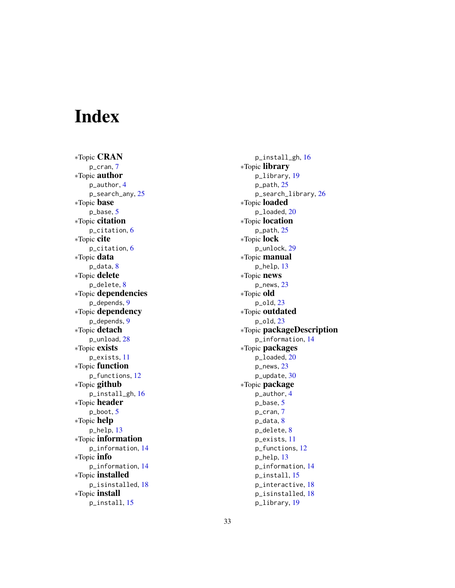# <span id="page-32-0"></span>Index

∗Topic CRAN p\_cran , [7](#page-6-0) ∗Topic author p\_author , [4](#page-3-0) p\_search\_any, [25](#page-24-0) ∗Topic base p\_base , [5](#page-4-0) ∗Topic citation p\_citation , [6](#page-5-0) ∗Topic cite p\_citation , [6](#page-5-0) ∗Topic data p\_data, <mark>[8](#page-7-0)</mark> ∗Topic delete p\_delete , [8](#page-7-0) ∗Topic dependencies p\_depends , [9](#page-8-0) ∗Topic dependency p\_depends , [9](#page-8-0) ∗Topic detach p\_unload , [28](#page-27-0) ∗Topic exists p\_exists , [11](#page-10-0) ∗Topic function p\_functions , [12](#page-11-0) ∗Topic github p\_install\_gh , [16](#page-15-0) ∗Topic header p\_boot , [5](#page-4-0) ∗Topic help p\_help , [13](#page-12-0) ∗Topic information p\_information , [14](#page-13-0) ∗Topic info p\_information , [14](#page-13-0) ∗Topic installed p\_isinstalled , [18](#page-17-0) ∗Topic install p\_install , [15](#page-14-0)

p\_install\_gh , [16](#page-15-0) ∗Topic library p\_library , [19](#page-18-0) p\_path , [25](#page-24-0) p\_search\_library , [26](#page-25-0) ∗Topic loaded p\_loaded , [20](#page-19-0) ∗Topic location p\_path , [25](#page-24-0) ∗Topic lock p\_unlock , [29](#page-28-0) ∗Topic manual p\_help , [13](#page-12-0) ∗Topic news p\_news , [23](#page-22-0) ∗Topic old p\_old , [23](#page-22-0) ∗Topic outdated p\_old , [23](#page-22-0) ∗Topic packageDescription p\_information , [14](#page-13-0) ∗Topic packages p\_loaded , [20](#page-19-0) p\_news , [23](#page-22-0) p\_update , [30](#page-29-0) ∗Topic package p\_author , [4](#page-3-0) p\_base , [5](#page-4-0) p\_cran , [7](#page-6-0) p\_data, [8](#page-7-0) p\_delete , [8](#page-7-0) p\_exists , [11](#page-10-0) p\_functions , [12](#page-11-0) p\_help , [13](#page-12-0) p\_information , [14](#page-13-0) p\_install , [15](#page-14-0) p\_interactive , [18](#page-17-0) p\_isinstalled , [18](#page-17-0)

p\_library , [19](#page-18-0)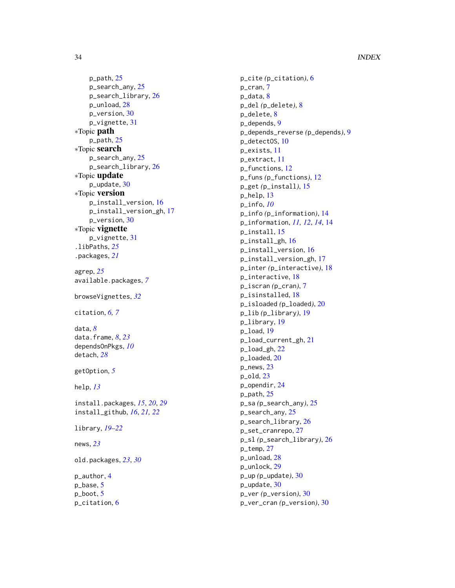p\_path , [25](#page-24-0) p\_search\_any, [25](#page-24-0) p\_search\_library , [26](#page-25-0) p\_unload , [28](#page-27-0) p\_version , [30](#page-29-0) p\_vignette , [31](#page-30-0) ∗Topic path p\_path , [25](#page-24-0) ∗Topic search p\_search\_any, [25](#page-24-0) p\_search\_library , [26](#page-25-0) ∗Topic update p\_update , [30](#page-29-0) ∗Topic version p\_install\_version , [16](#page-15-0) p\_install\_version\_gh , [17](#page-16-0) p\_version , [30](#page-29-0) ∗Topic vignette p\_vignette , [31](#page-30-0) .libPaths , *[25](#page-24-0)* .packages , *[21](#page-20-0)* agrep , *[25](#page-24-0)* available.packages , *[7](#page-6-0)* browseVignettes , *[32](#page-31-0)* citation , *[6,](#page-5-0) [7](#page-6-0)* data , *[8](#page-7-0)* data.frame , *[8](#page-7-0)* , *[23](#page-22-0)* dependsOnPkgs , *[10](#page-9-0)* detach , *[28](#page-27-0)* getOption , *[5](#page-4-0)* help , *[13](#page-12-0)* install.packages , *[15](#page-14-0)* , *[20](#page-19-0)* , *[29](#page-28-0)* install\_github , *[16](#page-15-0)* , *[21](#page-20-0) , [22](#page-21-0)* library , *[19](#page-18-0) [–22](#page-21-0)* news , *[23](#page-22-0)* old.packages , *[23](#page-22-0)* , *[30](#page-29-0)* p\_author , [4](#page-3-0) p\_base , [5](#page-4-0) p\_boot , [5](#page-4-0) p\_citation , [6](#page-5-0)

p\_cite *(*p\_citation *)* , [6](#page-5-0) p\_cran , [7](#page-6-0) p\_data, <mark>[8](#page-7-0)</mark> p\_del *(*p\_delete *)* , [8](#page-7-0) p\_delete , [8](#page-7-0) p\_depends , [9](#page-8-0) p\_depends\_reverse *(*p\_depends *)* , [9](#page-8-0) p\_detectOS , [10](#page-9-0) p\_exists , [11](#page-10-0) p\_extract , [11](#page-10-0) p\_functions , [12](#page-11-0) p\_funs *(*p\_functions *)* , [12](#page-11-0) p\_get *(*p\_install *)* , [15](#page-14-0) p\_help , [13](#page-12-0) p\_info , *[10](#page-9-0)* p\_info *(*p\_information *)* , [14](#page-13-0) p\_information , *[11](#page-10-0) , [12](#page-11-0)* , *[14](#page-13-0)* , [14](#page-13-0) p\_install , [15](#page-14-0) p\_install\_gh , [16](#page-15-0) p\_install\_version , [16](#page-15-0) p\_install\_version\_gh , [17](#page-16-0) p\_inter *(*p\_interactive *)* , [18](#page-17-0) p\_interactive , [18](#page-17-0) p\_iscran *(*p\_cran *)* , [7](#page-6-0) p\_isinstalled , [18](#page-17-0) p\_isloaded *(*p\_loaded *)* , [20](#page-19-0) p\_lib *(*p\_library *)* , [19](#page-18-0) p\_library , [19](#page-18-0) p\_load , [19](#page-18-0) p\_load\_current\_gh , [21](#page-20-0) p\_load\_gh , [22](#page-21-0) p\_loaded , [20](#page-19-0) p\_news , [23](#page-22-0) p\_old , [23](#page-22-0) p\_opendir , [24](#page-23-0) p\_path , [25](#page-24-0) p\_sa *(*p\_search\_any *)* , [25](#page-24-0) p\_search\_any, [25](#page-24-0) p\_search\_library , [26](#page-25-0) p\_set\_cranrepo , [27](#page-26-0) p\_sl *(*p\_search\_library *)* , [26](#page-25-0) p\_temp , [27](#page-26-0) p\_unload , [28](#page-27-0) p\_unlock , [29](#page-28-0) p\_up *(*p\_update *)* , [30](#page-29-0) p\_update , [30](#page-29-0) p\_ver *(*p\_version *)* , [30](#page-29-0) p\_ver\_cran *(*p\_version *)* , [30](#page-29-0)